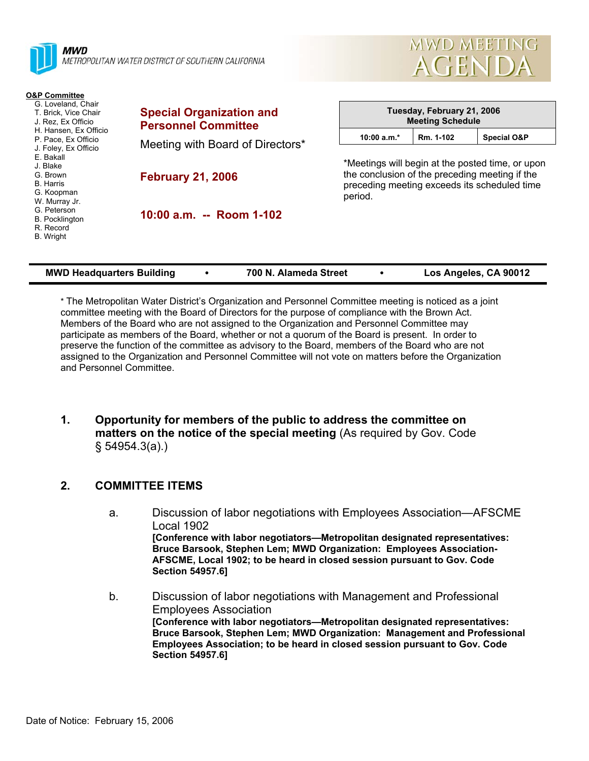| MWD<br>METROPOLITAN WATER DISTRICT OF SOUTHERN CALIFORNIA                                                                                                                                                                                                                                                                      |                                                               | <b>AGENDA</b> |                                                                                                                                                    |                            |  |  |
|--------------------------------------------------------------------------------------------------------------------------------------------------------------------------------------------------------------------------------------------------------------------------------------------------------------------------------|---------------------------------------------------------------|---------------|----------------------------------------------------------------------------------------------------------------------------------------------------|----------------------------|--|--|
| <b>O&amp;P Committee</b><br>G. Loveland, Chair<br>T. Brick, Vice Chair<br>J. Rez. Ex Officio<br>H. Hansen, Ex Officio<br>P. Pace, Ex Officio<br>J. Foley, Ex Officio<br>E. Bakall<br>J. Blake<br>G. Brown<br><b>B.</b> Harris<br>G. Koopman<br>W. Murray Jr.<br>G. Peterson<br><b>B.</b> Pocklington<br>R. Record<br>B. Wright | <b>Special Organization and</b><br><b>Personnel Committee</b> |               | <b>Meeting Schedule</b>                                                                                                                            | Tuesday, February 21, 2006 |  |  |
|                                                                                                                                                                                                                                                                                                                                | Meeting with Board of Directors*                              | $10:00 a.m.*$ | Rm. 1-102                                                                                                                                          | <b>Special O&amp;P</b>     |  |  |
|                                                                                                                                                                                                                                                                                                                                | <b>February 21, 2006</b>                                      | period.       | *Meetings will begin at the posted time, or upon<br>the conclusion of the preceding meeting if the<br>preceding meeting exceeds its scheduled time |                            |  |  |
|                                                                                                                                                                                                                                                                                                                                | 10:00 a.m. -- Room 1-102                                      |               |                                                                                                                                                    |                            |  |  |

MWD MEETING

| <b>MWD Headquarters Building</b> |  | 700 N. Alameda Street |  | Los Angeles, CA 90012 |
|----------------------------------|--|-----------------------|--|-----------------------|
|----------------------------------|--|-----------------------|--|-----------------------|

\* The Metropolitan Water District's Organization and Personnel Committee meeting is noticed as a joint committee meeting with the Board of Directors for the purpose of compliance with the Brown Act. Members of the Board who are not assigned to the Organization and Personnel Committee may participate as members of the Board, whether or not a quorum of the Board is present. In order to preserve the function of the committee as advisory to the Board, members of the Board who are not assigned to the Organization and Personnel Committee will not vote on matters before the Organization and Personnel Committee.

**1. Opportunity for members of the public to address the committee on matters on the notice of the special meeting** (As required by Gov. Code § 54954.3(a).)

## **2. COMMITTEE ITEMS**

- a. Discussion of labor negotiations with Employees Association—AFSCME Local 1902 **[Conference with labor negotiators—Metropolitan designated representatives: Bruce Barsook, Stephen Lem; MWD Organization: Employees Association-AFSCME, Local 1902; to be heard in closed session pursuant to Gov. Code Section 54957.6]**
- b. Discussion of labor negotiations with Management and Professional Employees Association **[Conference with labor negotiators—Metropolitan designated representatives: Bruce Barsook, Stephen Lem; MWD Organization: Management and Professional Employees Association; to be heard in closed session pursuant to Gov. Code Section 54957.6]**